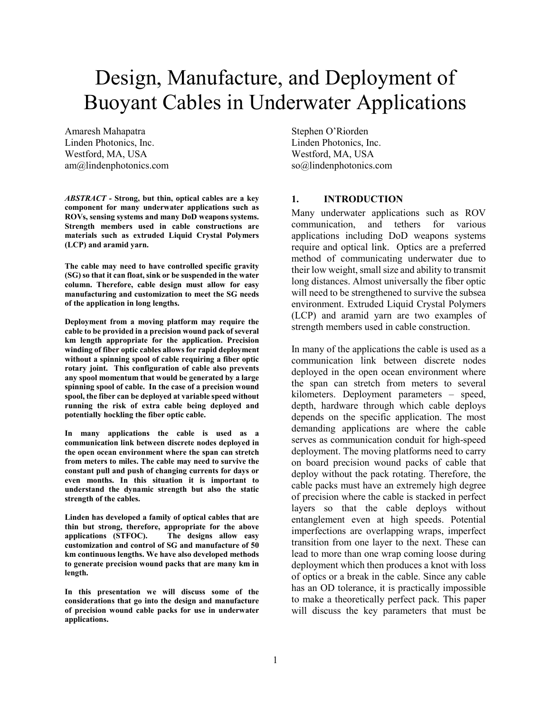# Design, Manufacture, and Deployment of Buoyant Cables in Underwater Applications

Amaresh Mahapatra Linden Photonics, Inc. Westford, MA, USA am@lindenphotonics.com

*ABSTRACT -* **Strong, but thin, optical cables are a key component for many underwater applications such as ROVs, sensing systems and many DoD weapons systems. Strength members used in cable constructions are materials such as extruded Liquid Crystal Polymers (LCP) and aramid yarn.** 

**The cable may need to have controlled specific gravity (SG) so that it can float, sink or be suspended in the water column. Therefore, cable design must allow for easy manufacturing and customization to meet the SG needs of the application in long lengths.** 

**Deployment from a moving platform may require the cable to be provided in a precision wound pack of several km length appropriate for the application. Precision winding of fiber optic cables allows for rapid deployment without a spinning spool of cable requiring a fiber optic rotary joint. This configuration of cable also prevents any spool momentum that would be generated by a large spinning spool of cable. In the case of a precision wound spool, the fiber can be deployed at variable speed without running the risk of extra cable being deployed and potentially hockling the fiber optic cable.** 

**In many applications the cable is used as a communication link between discrete nodes deployed in the open ocean environment where the span can stretch from meters to miles. The cable may need to survive the constant pull and push of changing currents for days or even months. In this situation it is important to understand the dynamic strength but also the static strength of the cables.** 

**Linden has developed a family of optical cables that are thin but strong, therefore, appropriate for the above applications (STFOC). The designs allow easy customization and control of SG and manufacture of 50 km continuous lengths. We have also developed methods to generate precision wound packs that are many km in length.** 

**In this presentation we will discuss some of the considerations that go into the design and manufacture of precision wound cable packs for use in underwater applications.** 

Stephen O'Riorden Linden Photonics, Inc. Westford, MA, USA so@lindenphotonics.com

## **1. INTRODUCTION**

Many underwater applications such as ROV communication, and tethers for various applications including DoD weapons systems require and optical link. Optics are a preferred method of communicating underwater due to their low weight, small size and ability to transmit long distances. Almost universally the fiber optic will need to be strengthened to survive the subsea environment. Extruded Liquid Crystal Polymers (LCP) and aramid yarn are two examples of strength members used in cable construction.

In many of the applications the cable is used as a communication link between discrete nodes deployed in the open ocean environment where the span can stretch from meters to several kilometers. Deployment parameters – speed, depth, hardware through which cable deploys depends on the specific application. The most demanding applications are where the cable serves as communication conduit for high-speed deployment. The moving platforms need to carry on board precision wound packs of cable that deploy without the pack rotating. Therefore, the cable packs must have an extremely high degree of precision where the cable is stacked in perfect layers so that the cable deploys without entanglement even at high speeds. Potential imperfections are overlapping wraps, imperfect transition from one layer to the next. These can lead to more than one wrap coming loose during deployment which then produces a knot with loss of optics or a break in the cable. Since any cable has an OD tolerance, it is practically impossible to make a theoretically perfect pack. This paper will discuss the key parameters that must be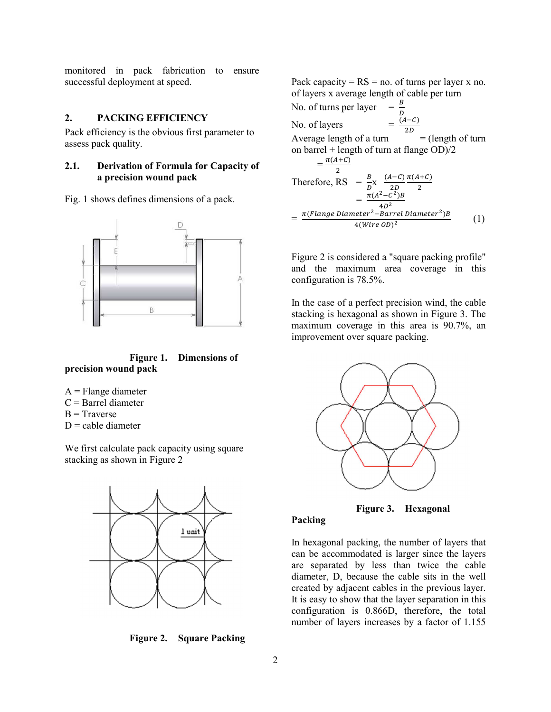monitored in pack fabrication to ensure successful deployment at speed.

# **2. PACKING EFFICIENCY**

Pack efficiency is the obvious first parameter to assess pack quality.

## **2.1. Derivation of Formula for Capacity of a precision wound pack**

Fig. 1 shows defines dimensions of a pack.



**Figure 1. Dimensions of precision wound pack** 

- $A =$ Flange diameter
- $C =$ Barrel diameter
- $B = Traverse$
- $D$  = cable diameter

We first calculate pack capacity using square stacking as shown in Figure 2



**Figure 2. Square Packing** 

Pack capacity =  $RS = no$ . of turns per layer x no. of layers x average length of cable per turn No. of turns per layer  $\frac{D}{D}$ No. of layers 2D Average length of a turn  $=$  (length of turn on barrel + length of turn at flange OD)/2  $=\frac{\pi(A+C)}{2}$ Therefore, RS =  $\frac{B}{D}$ x  $\frac{(A-C)}{2D}$ 2D  $\pi(A+C)$  $\overline{\mathbf{c}}$  $=\frac{\pi (A^2-C^2)B}{4D^2}$  $\frac{c}{4D^2}$  $=\frac{\pi (Flange \ Diameter^2 - Barrel \ Diameter^2)B}{4 (Wing \ QD)^2}$  $4(Wire OD)^2$ (1)

Figure 2 is considered a "square packing profile" and the maximum area coverage in this configuration is 78.5%.

In the case of a perfect precision wind, the cable stacking is hexagonal as shown in Figure 3. The maximum coverage in this area is 90.7%, an improvement over square packing.



**Figure 3. Hexagonal** 

#### **Packing**

In hexagonal packing, the number of layers that can be accommodated is larger since the layers are separated by less than twice the cable diameter, D, because the cable sits in the well created by adjacent cables in the previous layer. It is easy to show that the layer separation in this configuration is 0.866D, therefore, the total number of layers increases by a factor of 1.155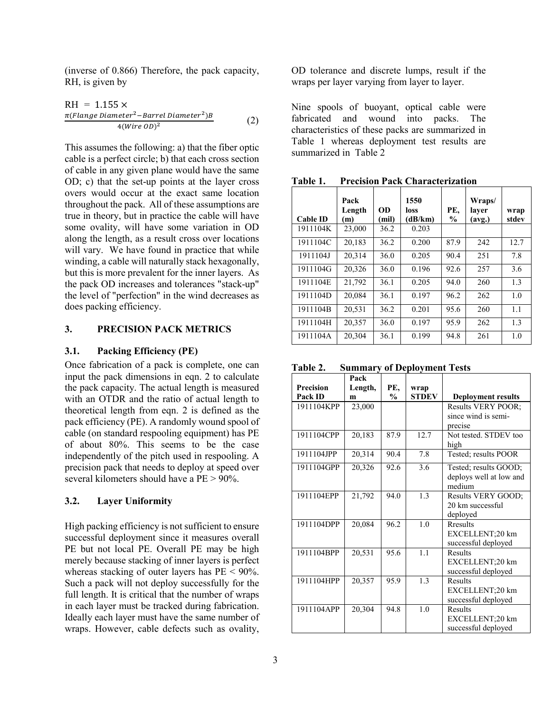(inverse of 0.866) Therefore, the pack capacity, RH, is given by

$$
RH = 1.155 \times
$$
  
\n
$$
\frac{\pi \text{(Flange Diameter}^2 - \text{Barrel Diameter}^2)B}{4 \text{(Wire OD)}^2}
$$
\n(2)

This assumes the following: a) that the fiber optic cable is a perfect circle; b) that each cross section of cable in any given plane would have the same OD; c) that the set-up points at the layer cross overs would occur at the exact same location throughout the pack. All of these assumptions are true in theory, but in practice the cable will have some ovality, will have some variation in OD along the length, as a result cross over locations will vary. We have found in practice that while winding, a cable will naturally stack hexagonally, but this is more prevalent for the inner layers. As the pack OD increases and tolerances "stack-up" the level of "perfection" in the wind decreases as does packing efficiency.

# **3. PRECISION PACK METRICS**

#### **3.1. Packing Efficiency (PE)**

Once fabrication of a pack is complete, one can input the pack dimensions in eqn. 2 to calculate the pack capacity. The actual length is measured with an OTDR and the ratio of actual length to theoretical length from eqn. 2 is defined as the pack efficiency (PE). A randomly wound spool of cable (on standard respooling equipment) has PE of about 80%. This seems to be the case independently of the pitch used in respooling. A precision pack that needs to deploy at speed over several kilometers should have a PE > 90%.

## **3.2. Layer Uniformity**

High packing efficiency is not sufficient to ensure successful deployment since it measures overall PE but not local PE. Overall PE may be high merely because stacking of inner layers is perfect whereas stacking of outer layers has  $PE < 90\%$ . Such a pack will not deploy successfully for the full length. It is critical that the number of wraps in each layer must be tracked during fabrication. Ideally each layer must have the same number of wraps. However, cable defects such as ovality, OD tolerance and discrete lumps, result if the wraps per layer varying from layer to layer.

Nine spools of buoyant, optical cable were fabricated and wound into packs. The characteristics of these packs are summarized in Table 1 whereas deployment test results are summarized in Table 2

| <b>Cable ID</b> | Pack<br>Length<br>(m) | OD<br>(mil) | 1550<br>loss<br>(dB/km) | PE,<br>$\frac{6}{9}$ | Wraps/<br>layer<br>(avg.) | wrap<br>stdev |
|-----------------|-----------------------|-------------|-------------------------|----------------------|---------------------------|---------------|
| 1911104K        | 23,000                | 36.2        | 0.203                   |                      |                           |               |
| 1911104C        | 20,183                | 36.2        | 0.200                   | 87.9                 | 242                       | 12.7          |
| 1911104J        | 20.314                | 36.0        | 0.205                   | 90.4                 | 251                       | 7.8           |
| 1911104G        | 20,326                | 36.0        | 0.196                   | 92.6                 | 257                       | 3.6           |
| 1911104E        | 21,792                | 36.1        | 0.205                   | 94.0                 | 260                       | 1.3           |
| 1911104D        | 20,084                | 36.1        | 0.197                   | 96.2                 | 262                       | 1.0           |
| 1911104B        | 20,531                | 36.2        | 0.201                   | 95.6                 | 260                       | 1.1           |
| 1911104H        | 20,357                | 36.0        | 0.197                   | 95.9                 | 262                       | 1.3           |
| 1911104A        | 20,304                | 36.1        | 0.199                   | 94.8                 | 261                       | 1.0           |

**Table 1. Precision Pack Characterization** 

**Table 2. Summary of Deployment Tests** 

|                  | Pack    |               |              |                           |
|------------------|---------|---------------|--------------|---------------------------|
| <b>Precision</b> | Length, | PE.           | wrap         |                           |
| Pack ID          | m       | $\frac{0}{0}$ | <b>STDEV</b> | <b>Deployment results</b> |
| 1911104KPP       | 23,000  |               |              | <b>Results VERY POOR:</b> |
|                  |         |               |              | since wind is semi-       |
|                  |         |               |              | precise                   |
| 1911104CPP       | 20,183  | 87.9          | 12.7         | Not tested. STDEV too     |
|                  |         |               |              | high                      |
| 1911104JPP       | 20,314  | 90.4          | 7.8          | Tested; results POOR      |
| 1911104GPP       | 20,326  | 92.6          | 3.6          | Tested; results GOOD;     |
|                  |         |               |              | deploys well at low and   |
|                  |         |               |              | medium                    |
| 1911104EPP       | 21,792  | 94.0          | 1.3          | Results VERY GOOD;        |
|                  |         |               |              | 20 km successful          |
|                  |         |               |              | deployed                  |
| 1911104DPP       | 20,084  | 96.2          | 1.0          | <b>R</b> results          |
|                  |         |               |              | EXCELLENT;20 km           |
|                  |         |               |              | successful deployed       |
| 1911104BPP       | 20,531  | 95.6          | 1.1          | Results                   |
|                  |         |               |              | EXCELLENT;20 km           |
|                  |         |               |              | successful deployed       |
| 1911104HPP       | 20,357  | 95.9          | 1.3          | Results                   |
|                  |         |               |              | EXCELLENT;20 km           |
|                  |         |               |              | successful deployed       |
| 1911104APP       | 20,304  | 94.8          | 1.0          | Results                   |
|                  |         |               |              | EXCELLENT;20 km           |
|                  |         |               |              | successful deployed       |